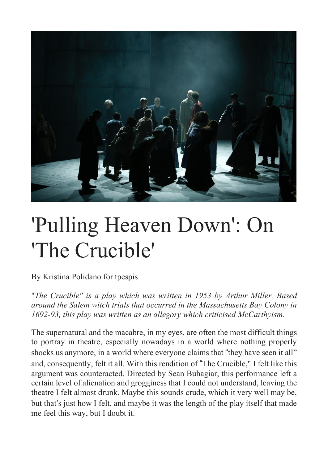

## 'Pulling Heaven Down': On 'The Crucible'

By Kristina Polidano for tpespis

"*The Crucible" is a play which was written in 1953 by Arthur Miller. Based around the Salem witch trials that occurred in the Massachusetts Bay Colony in 1692-93, this play was written as an allegory which criticised McCarthyism.*

The supernatural and the macabre, in my eyes, are often the most difficult things to portray in theatre, especially nowadays in a world where nothing properly shocks us anymore, in a world where everyone claims that "they have seen it all" and, consequently, felt it all. With this rendition of "The Crucible," I felt like this argument was counteracted. Directed by Sean Buhagiar, this performance left a certain level of alienation and grogginess that I could not understand, leaving the theatre I felt almost drunk. Maybe this sounds crude, which it very well may be, but that's just how I felt, and maybe it was the length of the play itself that made me feel this way, but I doubt it.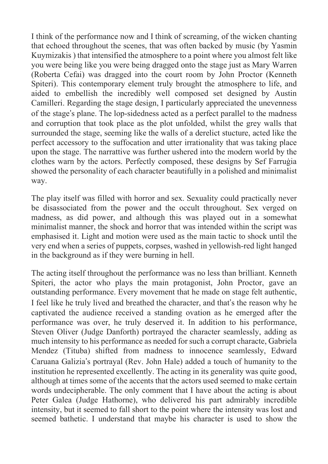I think of the performance now and I think of screaming, of the wicken chanting that echoed throughout the scenes, that was often backed by music (by Yasmin Kuymizakis ) that intensified the atmosphere to a point where you almost felt like you were being like you were being dragged onto the stage just as Mary Warren (Roberta Cefai) was dragged into the court room by John Proctor (Kenneth Spiteri). This contemporary element truly brought the atmosphere to life, and aided to embellish the incredibly well composed set designed by Austin Camilleri. Regarding the stage design, I particularly appreciated the unevenness of the stage's plane. The lop-sidedness acted as a perfect parallel to the madness and corruption that took place as the plot unfolded, whilst the grey walls that surrounded the stage, seeming like the walls of a derelict stucture, acted like the perfect accessory to the suffocation and utter irrationality that was taking place upon the stage. The narrattive was further ushered into the modern world by the clothes warn by the actors. Perfectly composed, these designs by Sef Farruġia showed the personality of each character beautifully in a polished and minimalist way.

The play itself was filled with horror and sex. Sexuality could practically never be disassociated from the power and the occult throughout. Sex verged on madness, as did power, and although this was played out in a somewhat minimalist manner, the shock and horror that was intended within the script was emphasised it. Light and motion were used as the main tactic to shock until the very end when a series of puppets, corpses, washed in yellowish-red light hanged in the background as if they were burning in hell.

The acting itself throughout the performance was no less than brilliant. Kenneth Spiteri, the actor who plays the main protagonist, John Proctor, gave an outstanding performance. Every movement that he made on stage felt authentic, I feel like he truly lived and breathed the character, and that's the reason why he captivated the audience received a standing ovation as he emerged after the performance was over, he truly deserved it. In addition to his performance, Steven Oliver (Judge Danforth) portrayed the character seamlessly, adding as much intensity to his performance as needed for such a corrupt characte, Gabriela Mendez (Tituba) shifted from madness to innocence seamlessly, Edward Caruana Galizia's portrayal (Rev. John Hale) added a touch of humanity to the institution he represented excellently. The acting in its generality was quite good, although at times some of the accents that the actors used seemed to make certain words undecipherable. The only comment that I have about the acting is about Peter Galea (Judge Hathorne), who delivered his part admirably incredible intensity, but it seemed to fall short to the point where the intensity was lost and seemed bathetic. I understand that maybe his character is used to show the